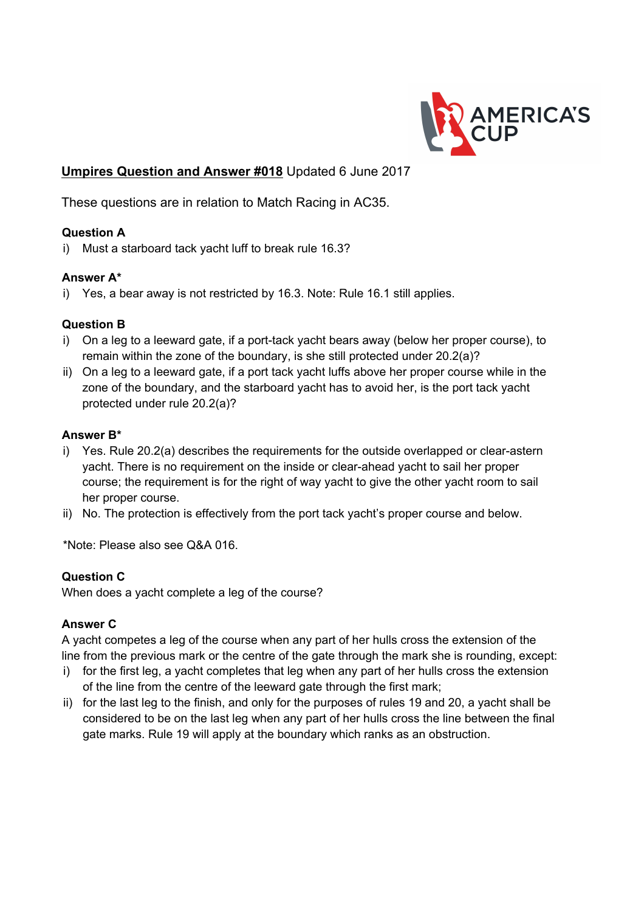

# **Umpires Question and Answer #018** Updated 6 June 2017

These questions are in relation to Match Racing in AC35.

### **Question A**

i) Must a starboard tack yacht luff to break rule 16.3?

#### **Answer A\***

i) Yes, a bear away is not restricted by 16.3. Note: Rule 16.1 still applies.

## **Question B**

- i) On a leg to a leeward gate, if a port-tack yacht bears away (below her proper course), to remain within the zone of the boundary, is she still protected under 20.2(a)?
- ii) On a leg to a leeward gate, if a port tack yacht luffs above her proper course while in the zone of the boundary, and the starboard yacht has to avoid her, is the port tack yacht protected under rule 20.2(a)?

#### **Answer B\***

- i) Yes. Rule 20.2(a) describes the requirements for the outside overlapped or clear-astern yacht. There is no requirement on the inside or clear-ahead yacht to sail her proper course; the requirement is for the right of way yacht to give the other yacht room to sail her proper course.
- ii) No. The protection is effectively from the port tack yacht's proper course and below.

\*Note: Please also see Q&A 016.

#### **Question C**

When does a yacht complete a leg of the course?

#### **Answer C**

A yacht competes a leg of the course when any part of her hulls cross the extension of the line from the previous mark or the centre of the gate through the mark she is rounding, except:

- i) for the first leg, a yacht completes that leg when any part of her hulls cross the extension of the line from the centre of the leeward gate through the first mark;
- ii) for the last leg to the finish, and only for the purposes of rules 19 and 20, a yacht shall be considered to be on the last leg when any part of her hulls cross the line between the final gate marks. Rule 19 will apply at the boundary which ranks as an obstruction.